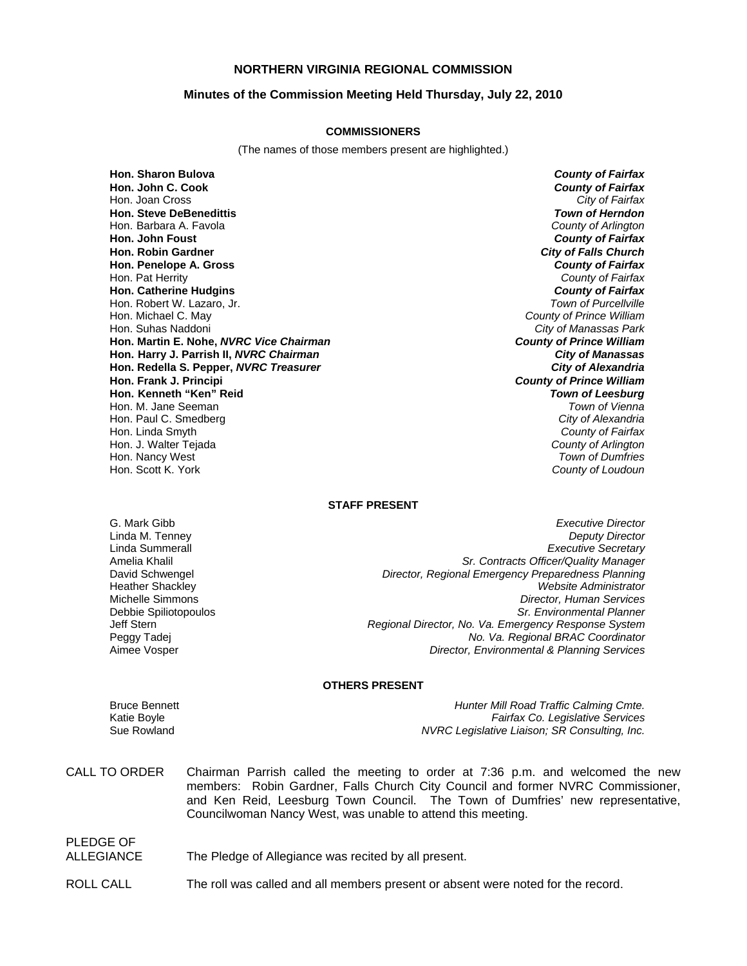## **NORTHERN VIRGINIA REGIONAL COMMISSION**

## **Minutes of the Commission Meeting Held Thursday, July 22, 2010**

#### **COMMISSIONERS**

(The names of those members present are highlighted.)

**Hon. Sharon Bulova** *County of Fairfax* **Hon. John C. Cook** *County of Fairfax* Hon. Joan Cross **Hon. Steve DeBenedittis** *Town of Herndon* Hon. Barbara A. Favola *County of Arlington* **Hon. John Foust** *County of Fairfax* **Hon. Robin Gardner** *City of Falls Church* **Hon. Penelope A. Gross** *County of Fairfax* Hon. Pat Herrity *County of Fairfax* **Hon. Catherine Hudgins** *County of Fairfax* Hon. Robert W. Lazaro, Jr. Hon. Michael C. May *County of Prince William* Hon. Suhas Naddoni *City of Manassas Park* **Hon. Martin E. Nohe,** *NVRC Vice Chairman County of Prince William* **Hon. Harry J. Parrish II,** *NVRC Chairman City of Manassas* **Hon. Redella S. Pepper,** *NVRC Treasurer City of Alexandria* **Hon. Frank J. Principi** *County of Prince William* **Hon. Kenneth "Ken" Reid** *Town of Leesburg* Hon. M. Jane Seeman *Town of Vienna* Hon. Paul C. Smedberg *City of Alexandria* Hon. Linda Smyth *County of Fairfax* Hon. J. Walter Tejada *County of Arlington* Hon. Nancy West *Town of Dumfries*

Hon. Scott K. York *County of Loudoun*

#### **STAFF PRESENT**

G. Mark Gibb *Executive Director* **Deputy Director** Linda Summerall *Executive Secretary* Amelia Khalil *Sr. Contracts Officer/Quality Manager* David Schwengel *Director, Regional Emergency Preparedness Planning* Heather Shackley *Website Administrator* Michelle Simmons *Director, Human Services* Debbie Spiliotopoulos *Sr. Environmental Planner* Jeff Stern *Regional Director, No. Va. Emergency Response System* Peggy Tadej *No. Va. Regional BRAC Coordinator* Aimee Vosper *Director, Environmental & Planning Services*

#### **OTHERS PRESENT**

PLEDGE OF

Bruce Bennett *Hunter Mill Road Traffic Calming Cmte.* Katie Boyle *Fairfax Co. Legislative Services* Sue Rowland *NVRC Legislative Liaison; SR Consulting, Inc.*

CALL TO ORDER Chairman Parrish called the meeting to order at 7:36 p.m. and welcomed the new members: Robin Gardner, Falls Church City Council and former NVRC Commissioner, and Ken Reid, Leesburg Town Council. The Town of Dumfries' new representative, Councilwoman Nancy West, was unable to attend this meeting.

ALLEGIANCE The Pledge of Allegiance was recited by all present.

ROLL CALL The roll was called and all members present or absent were noted for the record.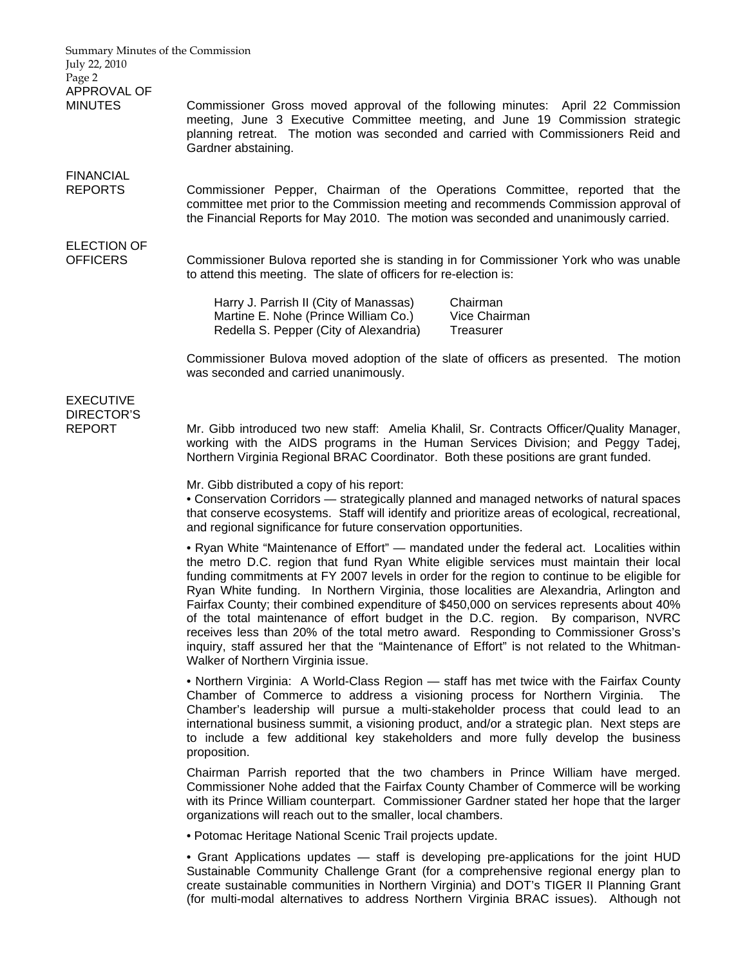| Summary Minutes of the Commission<br>July 22, 2010<br>Page 2 |                                                                                                                                                                                                                                                                                                                                                                                                                                                                                                                                                                                                                                                                                                                                                                                            |
|--------------------------------------------------------------|--------------------------------------------------------------------------------------------------------------------------------------------------------------------------------------------------------------------------------------------------------------------------------------------------------------------------------------------------------------------------------------------------------------------------------------------------------------------------------------------------------------------------------------------------------------------------------------------------------------------------------------------------------------------------------------------------------------------------------------------------------------------------------------------|
| APPROVAL OF<br><b>MINUTES</b>                                | Commissioner Gross moved approval of the following minutes: April 22 Commission<br>meeting, June 3 Executive Committee meeting, and June 19 Commission strategic<br>planning retreat. The motion was seconded and carried with Commissioners Reid and<br>Gardner abstaining.                                                                                                                                                                                                                                                                                                                                                                                                                                                                                                               |
| <b>FINANCIAL</b><br><b>REPORTS</b>                           | Commissioner Pepper, Chairman of the Operations Committee, reported that the<br>committee met prior to the Commission meeting and recommends Commission approval of<br>the Financial Reports for May 2010. The motion was seconded and unanimously carried.                                                                                                                                                                                                                                                                                                                                                                                                                                                                                                                                |
| <b>ELECTION OF</b><br><b>OFFICERS</b>                        | Commissioner Bulova reported she is standing in for Commissioner York who was unable<br>to attend this meeting. The slate of officers for re-election is:                                                                                                                                                                                                                                                                                                                                                                                                                                                                                                                                                                                                                                  |
|                                                              | Harry J. Parrish II (City of Manassas)<br>Chairman<br>Martine E. Nohe (Prince William Co.)<br>Vice Chairman<br>Redella S. Pepper (City of Alexandria)<br>Treasurer                                                                                                                                                                                                                                                                                                                                                                                                                                                                                                                                                                                                                         |
|                                                              | Commissioner Bulova moved adoption of the slate of officers as presented. The motion<br>was seconded and carried unanimously.                                                                                                                                                                                                                                                                                                                                                                                                                                                                                                                                                                                                                                                              |
| <b>EXECUTIVE</b><br><b>DIRECTOR'S</b><br><b>REPORT</b>       | Mr. Gibb introduced two new staff: Amelia Khalil, Sr. Contracts Officer/Quality Manager,<br>working with the AIDS programs in the Human Services Division; and Peggy Tadej,<br>Northern Virginia Regional BRAC Coordinator. Both these positions are grant funded.                                                                                                                                                                                                                                                                                                                                                                                                                                                                                                                         |
|                                                              | Mr. Gibb distributed a copy of his report:<br>• Conservation Corridors — strategically planned and managed networks of natural spaces<br>that conserve ecosystems. Staff will identify and prioritize areas of ecological, recreational,<br>and regional significance for future conservation opportunities.                                                                                                                                                                                                                                                                                                                                                                                                                                                                               |
|                                                              | • Ryan White "Maintenance of Effort" — mandated under the federal act. Localities within<br>the metro D.C. region that fund Ryan White eligible services must maintain their local<br>funding commitments at FY 2007 levels in order for the region to continue to be eligible for<br>Ryan White funding. In Northern Virginia, those localities are Alexandria, Arlington and<br>Fairfax County; their combined expenditure of \$450,000 on services represents about 40%<br>of the total maintenance of effort budget in the D.C. region. By comparison, NVRC<br>receives less than 20% of the total metro award. Responding to Commissioner Gross's<br>inquiry, staff assured her that the "Maintenance of Effort" is not related to the Whitman-<br>Walker of Northern Virginia issue. |
|                                                              | • Northern Virginia: A World-Class Region — staff has met twice with the Fairfax County<br>Chamber of Commerce to address a visioning process for Northern Virginia.<br>The<br>Chamber's leadership will pursue a multi-stakeholder process that could lead to an<br>international business summit, a visioning product, and/or a strategic plan. Next steps are<br>to include a few additional key stakeholders and more fully develop the business<br>proposition.                                                                                                                                                                                                                                                                                                                       |
|                                                              | Chairman Parrish reported that the two chambers in Prince William have merged.<br>Commissioner Nohe added that the Fairfax County Chamber of Commerce will be working<br>with its Prince William counterpart. Commissioner Gardner stated her hope that the larger<br>organizations will reach out to the smaller, local chambers.                                                                                                                                                                                                                                                                                                                                                                                                                                                         |
|                                                              | · Potomac Heritage National Scenic Trail projects update.                                                                                                                                                                                                                                                                                                                                                                                                                                                                                                                                                                                                                                                                                                                                  |
|                                                              | • Grant Applications updates — staff is developing pre-applications for the joint HUD<br>Sustainable Community Challenge Grant (for a comprehensive regional energy plan to                                                                                                                                                                                                                                                                                                                                                                                                                                                                                                                                                                                                                |

create sustainable communities in Northern Virginia) and DOT's TIGER II Planning Grant (for multi-modal alternatives to address Northern Virginia BRAC issues). Although not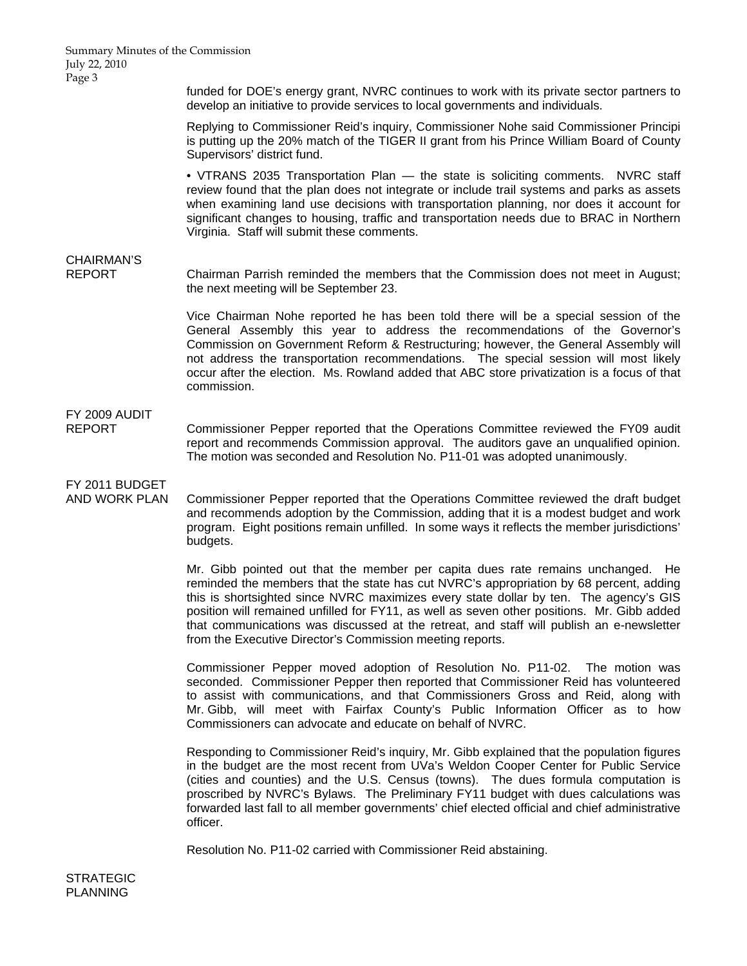Summary Minutes of the Commission July 22, 2010 Page 3

> funded for DOE's energy grant, NVRC continues to work with its private sector partners to develop an initiative to provide services to local governments and individuals.

> Replying to Commissioner Reid's inquiry, Commissioner Nohe said Commissioner Principi is putting up the 20% match of the TIGER II grant from his Prince William Board of County Supervisors' district fund.

> • VTRANS 2035 Transportation Plan — the state is soliciting comments. NVRC staff review found that the plan does not integrate or include trail systems and parks as assets when examining land use decisions with transportation planning, nor does it account for significant changes to housing, traffic and transportation needs due to BRAC in Northern Virginia. Staff will submit these comments.

# CHAIRMAN'S

REPORT Chairman Parrish reminded the members that the Commission does not meet in August; the next meeting will be September 23.

> Vice Chairman Nohe reported he has been told there will be a special session of the General Assembly this year to address the recommendations of the Governor's Commission on Government Reform & Restructuring; however, the General Assembly will not address the transportation recommendations. The special session will most likely occur after the election. Ms. Rowland added that ABC store privatization is a focus of that commission.

# FY 2009 AUDIT

REPORT Commissioner Pepper reported that the Operations Committee reviewed the FY09 audit report and recommends Commission approval. The auditors gave an unqualified opinion. The motion was seconded and Resolution No. P11-01 was adopted unanimously.

FY 2011 BUDGET

AND WORK PLAN Commissioner Pepper reported that the Operations Committee reviewed the draft budget and recommends adoption by the Commission, adding that it is a modest budget and work program. Eight positions remain unfilled. In some ways it reflects the member jurisdictions' budgets.

> Mr. Gibb pointed out that the member per capita dues rate remains unchanged. He reminded the members that the state has cut NVRC's appropriation by 68 percent, adding this is shortsighted since NVRC maximizes every state dollar by ten. The agency's GIS position will remained unfilled for FY11, as well as seven other positions. Mr. Gibb added that communications was discussed at the retreat, and staff will publish an e-newsletter from the Executive Director's Commission meeting reports.

> Commissioner Pepper moved adoption of Resolution No. P11-02. The motion was seconded. Commissioner Pepper then reported that Commissioner Reid has volunteered to assist with communications, and that Commissioners Gross and Reid, along with Mr. Gibb, will meet with Fairfax County's Public Information Officer as to how Commissioners can advocate and educate on behalf of NVRC.

> Responding to Commissioner Reid's inquiry, Mr. Gibb explained that the population figures in the budget are the most recent from UVa's Weldon Cooper Center for Public Service (cities and counties) and the U.S. Census (towns). The dues formula computation is proscribed by NVRC's Bylaws. The Preliminary FY11 budget with dues calculations was forwarded last fall to all member governments' chief elected official and chief administrative officer.

Resolution No. P11-02 carried with Commissioner Reid abstaining.